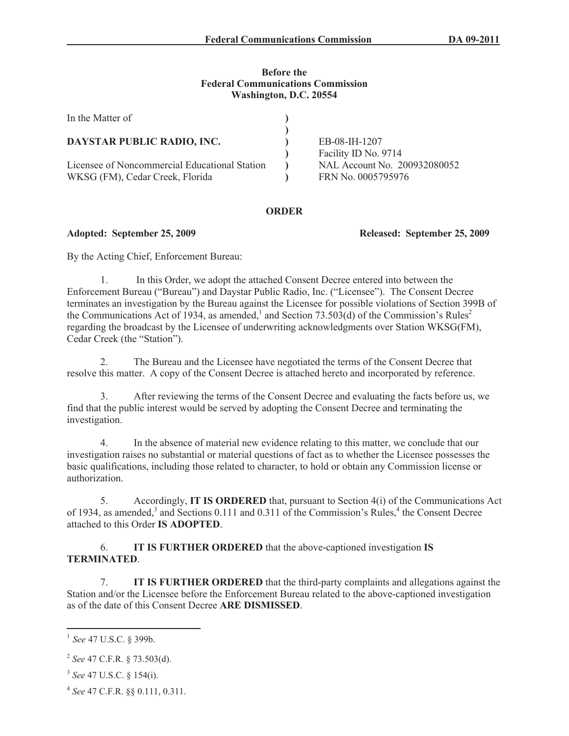## **Before the Federal Communications Commission Washington, D.C. 20554**

| In the Matter of                              |                              |
|-----------------------------------------------|------------------------------|
| DAYSTAR PUBLIC RADIO, INC.                    | EB-08-IH-1207                |
|                                               | Facility ID No. 9714         |
| Licensee of Noncommercial Educational Station | NAL Account No. 200932080052 |
| WKSG (FM), Cedar Creek, Florida               | FRN No. 0005795976           |

## **ORDER**

**Adopted: September 25, 2009 Released: September 25, 2009**

By the Acting Chief, Enforcement Bureau:

1. In this Order, we adopt the attached Consent Decree entered into between the Enforcement Bureau ("Bureau") and Daystar Public Radio, Inc. ("Licensee"). The Consent Decree terminates an investigation by the Bureau against the Licensee for possible violations of Section 399B of the Communications Act of 1934, as amended,<sup>1</sup> and Section 73.503(d) of the Commission's Rules<sup>2</sup> regarding the broadcast by the Licensee of underwriting acknowledgments over Station WKSG(FM), Cedar Creek (the "Station").

2. The Bureau and the Licensee have negotiated the terms of the Consent Decree that resolve this matter. A copy of the Consent Decree is attached hereto and incorporated by reference.

3. After reviewing the terms of the Consent Decree and evaluating the facts before us, we find that the public interest would be served by adopting the Consent Decree and terminating the investigation.

4. In the absence of material new evidence relating to this matter, we conclude that our investigation raises no substantial or material questions of fact as to whether the Licensee possesses the basic qualifications, including those related to character, to hold or obtain any Commission license or authorization.

5. Accordingly, **IT IS ORDERED** that, pursuant to Section 4(i) of the Communications Act of 1934, as amended,<sup>3</sup> and Sections 0.111 and 0.311 of the Commission's Rules,<sup>4</sup> the Consent Decree attached to this Order **IS ADOPTED**.

6. **IT IS FURTHER ORDERED** that the above-captioned investigation **IS TERMINATED**.

7. **IT IS FURTHER ORDERED** that the third-party complaints and allegations against the Station and/or the Licensee before the Enforcement Bureau related to the above-captioned investigation as of the date of this Consent Decree **ARE DISMISSED**.

<sup>1</sup> *See* 47 U.S.C. § 399b.

<sup>2</sup> *See* 47 C.F.R. § 73.503(d).

<sup>3</sup> *See* 47 U.S.C. § 154(i).

<sup>4</sup> *See* 47 C.F.R. §§ 0.111, 0.311.